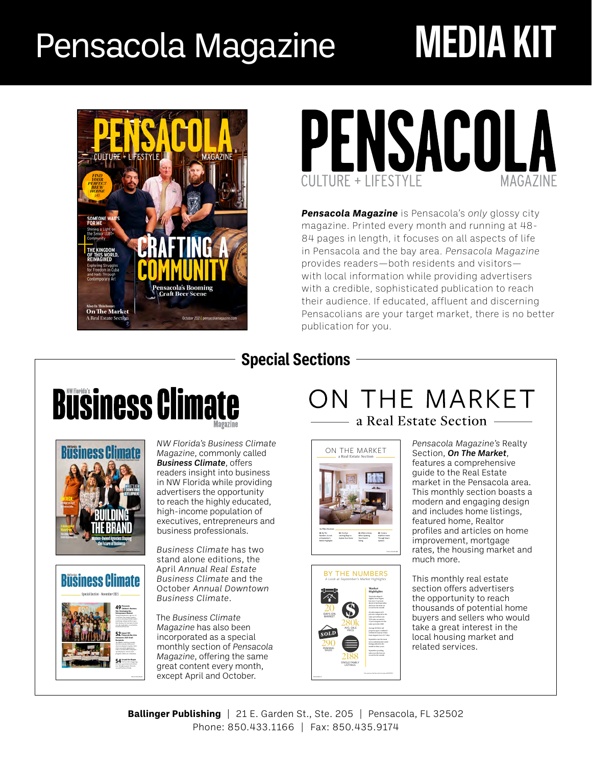# Pensacola Magazine **MEDIA KIT**





*Pensacola Magazine* is Pensacola's *only* glossy city magazine. Printed every month and running at 48- 84 pages in length, it focuses on all aspects of life in Pensacola and the bay area. *Pensacola Magazine* provides readers—both residents and visitors with local information while providing advertisers with a credible, sophisticated publication to reach their audience. If educated, affluent and discerning Pensacolians are your target market, there is no better publication for you.

## **Special Sections**





*NW Florida's Business Climate Magazine*, commonly called *Business Climate*, offers readers insight into business in NW Florida while providing advertisers the opportunity to reach the highly educated, high-income population of executives, entrepreneurs and business professionals.



*Business Climate* has two stand alone editions, the April *Annual Real Estate Business Climate* and the October *Annual Downtown Business Climate*.

The *Business Climate Magazine* has also been incorporated as a special monthly section of *Pensacola Magazine*, offering the same great content every month, except April and October.

## ON THE MARKET a Real Estate Section —





*Pensacola Magazine's* Realty Section, *On The Market*, features a comprehensive guide to the Real Estate market in the Pensacola area. This monthly section boasts a modern and engaging design and includes home listings, featured home, Realtor profiles and articles on home improvement, mortgage rates, the housing market and much more.

This monthly real estate section offers advertisers the opportunity to reach thousands of potential home buyers and sellers who would take a great interest in the local housing market and related services.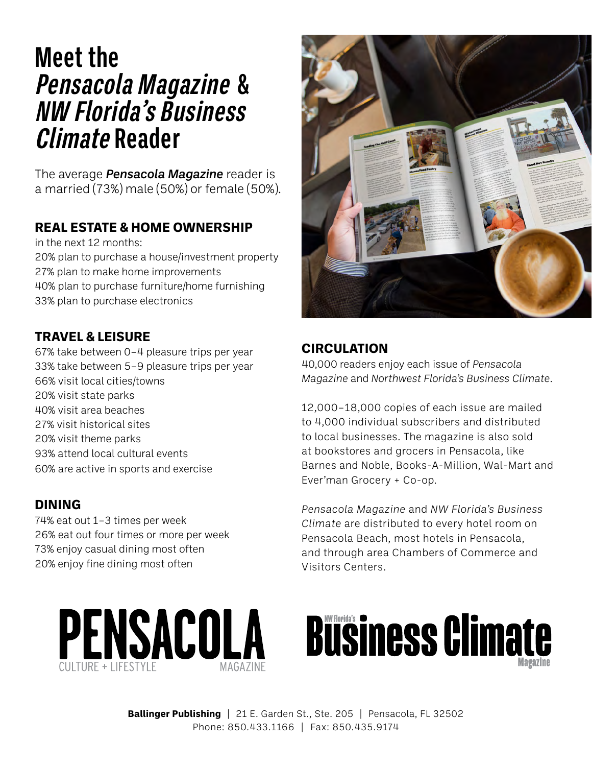## **Meet the Pensacola Magazine & NW Florida's Business Climate Reader**

The average *Pensacola Magazine* reader is a married (73%) male (50%) or female (50%).

#### **REAL ESTATE & HOME OWNERSHIP**

in the next 12 months:

20% plan to purchase a house/investment property 27% plan to make home improvements 40% plan to purchase furniture/home furnishing 33% plan to purchase electronics

#### **TRAVEL & LEISURE**

67% take between 0–4 pleasure trips per year 33% take between 5–9 pleasure trips per year 66% visit local cities/towns 20% visit state parks 40% visit area beaches 27% visit historical sites 20% visit theme parks 93% attend local cultural events 60% are active in sports and exercise

#### **DINING**

74% eat out 1–3 times per week 26% eat out four times or more per week 73% enjoy casual dining most often 20% enjoy fine dining most often



#### **CIRCULATION**

40,000 readers enjoy each issue of *Pensacola Magazine* and *Northwest Florida's Business Climate*.

12,000–18,000 copies of each issue are mailed to 4,000 individual subscribers and distributed to local businesses. The magazine is also sold at bookstores and grocers in Pensacola, like Barnes and Noble, Books-A-Million, Wal-Mart and Ever'man Grocery + Co-op.

*Pensacola Magazine* and *NW Florida's Business Climate* are distributed to every hotel room on Pensacola Beach, most hotels in Pensacola, and through area Chambers of Commerce and Visitors Centers.



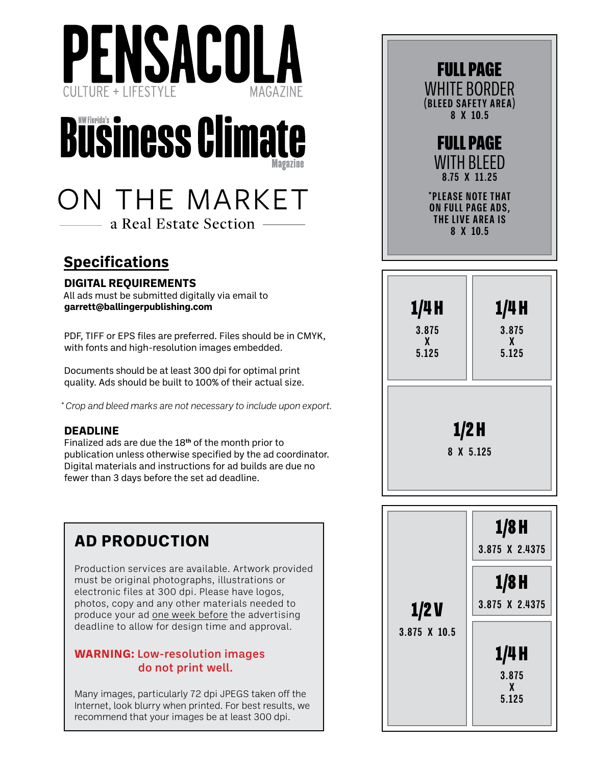



## ON THE MARKET a Real Estate Section –

**Specifications**

#### **DIGITAL REQUIREMENTS**

All ads must be submitted digitally via email to **garrett@ballingerpublishing.com**

PDF, TIFF or EPS files are preferred. Files should be in CMYK, with fonts and high-resolution images embedded.

Documents should be at least 300 dpi for optimal print quality. Ads should be built to 100% of their actual size.

*\* Crop and bleed marks are not necessary to include upon export.*

#### **DEADLINE**

Finalized ads are due the 18**th** of the month prior to publication unless otherwise specified by the ad coordinator. Digital materials and instructions for ad builds are due no fewer than 3 days before the set ad deadline.

## **AD PRODUCTION**

Production services are available. Artwork provided must be original photographs, illustrations or electronic files at 300 dpi. Please have logos, photos, copy and any other materials needed to produce your ad one week before the advertising deadline to allow for design time and approval.

#### **WARNING:** Low-resolution images do not print well.

Many images, particularly 72 dpi JPEGS taken off the Internet, look blurry when printed. For best results, we recommend that your images be at least 300 dpi.

| <b>FULL PAGE</b><br>WHITE BORDER<br>(BLEED SAFETY AREA)<br>8 X 10.5           |  |
|-------------------------------------------------------------------------------|--|
| <b>FULL PAGE</b><br>WITH BLEED<br>8.75 X 11.25                                |  |
| <b>*PLEASE NOTE THAT</b><br>ON FULL PAGE ADS,<br>THE LIVE AREA IS<br>8 X 10.5 |  |

| 1/4H                 | 1/4 H        |  |  |  |
|----------------------|--------------|--|--|--|
| 3.875                | 3.875        |  |  |  |
| $\mathbf{X}$         | $\mathbf{X}$ |  |  |  |
| 5.125                | 5.125        |  |  |  |
| $1/2$ H<br>8 X 5.125 |              |  |  |  |

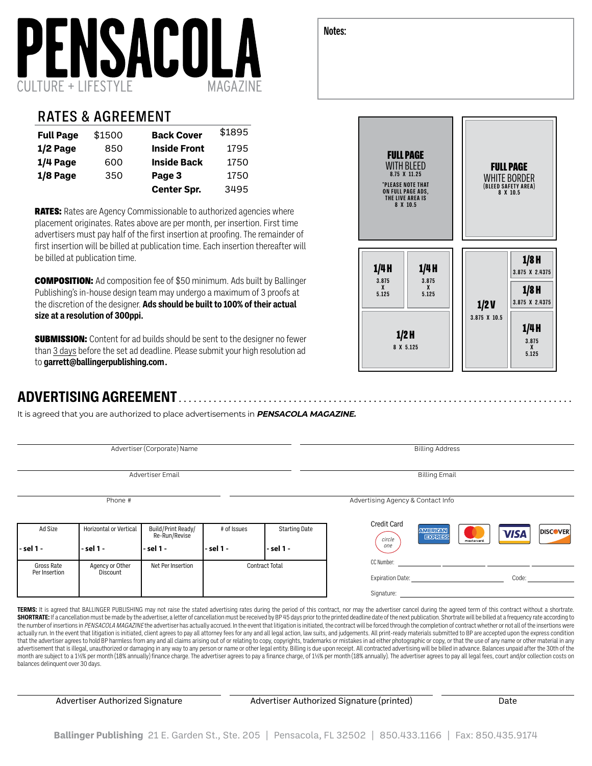

#### RATES & AGREEMENT

| <b>Full Page</b> | \$1500 | <b>Back Cover</b>   | \$1895 |
|------------------|--------|---------------------|--------|
| 1/2 Page         | 850    | <b>Inside Front</b> | 1795   |
| $1/4$ Page       | 600    | <b>Inside Back</b>  | 1750   |
| 1/8 Page         | 350    | Page 3              | 1750   |
|                  |        | <b>Center Spr.</b>  | 3495   |

**RATES:** Rates are Agency Commissionable to authorized agencies where placement originates. Rates above are per month, per insertion. First time advertisers must pay half of the first insertion at proofing. The remainder of first insertion will be billed at publication time. Each insertion thereafter will be billed at publication time.

**COMPOSITION:** Ad composition fee of \$50 minimum. Ads built by Ballinger Publishing's in-house design team may undergo a maximum of 3 proofs at the discretion of the designer. **Ads should be built to 100% of their actual size at a resolution of 300ppi.**

**SUBMISSION:** Content for ad builds should be sent to the designer no fewer than 3 days before the set ad deadline. Please submit your high resolution ad to **[garrett@ballingerpublishing.com](mailto:%18garrett%40ballingerpublishing.com?subject=) .**

#### **ADVERTISING AGREEMENT**

It is agreed that you are authorized to place advertisements in **PENSACOLA MAGAZINE.**

|                             |                                     | Advertiser (Corporate) Name                      |                          |                                   |                                     | <b>Billing Address</b>         |                                |
|-----------------------------|-------------------------------------|--------------------------------------------------|--------------------------|-----------------------------------|-------------------------------------|--------------------------------|--------------------------------|
| Advertiser Email            |                                     |                                                  |                          |                                   | <b>Billing Email</b>                |                                |                                |
|                             | Phone #                             |                                                  |                          |                                   | Advertising Agency & Contact Info   |                                |                                |
| Ad Size<br>- sel 1 -        | Horizontal or Vertical<br>- sel 1 - | Build/Print Ready/<br>Re-Run/Revise<br>- sel 1 - | # of Issues<br>- sel 1 - | <b>Starting Date</b><br>- sel 1 - | <b>Credit Card</b><br>circle<br>one | <b>AMERICAN</b><br>mastercard. | <b>DISCOVER</b><br><b>VISA</b> |
|                             |                                     |                                                  |                          |                                   |                                     |                                |                                |
| Gross Rate<br>Per Insertion | Agency or Other<br>Discount         | Net Per Insertion                                | <b>Contract Total</b>    |                                   | CC Number:                          |                                |                                |
|                             |                                     |                                                  |                          |                                   | <b>Expiration Date:</b>             |                                | Code:                          |
|                             |                                     |                                                  |                          |                                   | Signature:                          |                                |                                |

**TERMS:** It is agreed that BALLINGER PUBLISHING may not raise the stated advertising rates during the period of this contract, nor may the advertiser cancel during the agreed term of this contract without a shortrate. SHORTRATE: If a cancellation must be made by the advertiser, a letter of cancellation must be received by BP 45 days prior to the printed deadline date of the next publication. Shortrate will be billed at a frequency rate the number of insertions in PENSACOLA MAGAZINE the advertiser has actually accrued. In the event that litigation is initiated, the contract will be forced through the completion of contract whether or not all of the insert actually run. In the event that litigation is initiated, client agrees to pay all attorney fees for any and all legal action, law suits, and judgements. All print-ready materials submitted to BP are accepted upon the expre that the advertiser agrees to hold BP harmless from any and all claims arising out of or relating to copy, copyrights, trademarks or mistakes in ad either photographic or copy, or that the use of any name or other material advertisement that is illegal, unauthorized or damaging in any way to any person or name or other legal entity. Billing is due upon receipt. All contracted advertising will be billed in advance. Balances unpaid after the 3 month are subject to a 11%% per month (18% annually) finance charge. The advertiser agrees to pay a finance charge, of 11%% per month (18% annually). The advertiser agrees to pay all legal fees, court and/or collection cos balances delinquent over 30 days.

Advertiser Authorized Signature **Advertiser Authorized Signature (printed)** Date

**3.875 X 5.125**

| <b>FULL PAGE</b><br><b>WITH BLEED</b><br>8.75 X 11.25<br><b>*PLEASE NOTE THAT</b><br>ON FULL PAGE ADS,<br>THE LIVE AREA IS<br>8 X 10.5 |                              |                      | <b>FULL PAGE</b><br><b>WHITE BORDER</b><br>(BLEED SAFETY AREA)<br>8 X 10.5 |
|----------------------------------------------------------------------------------------------------------------------------------------|------------------------------|----------------------|----------------------------------------------------------------------------|
| 1/4H<br>3.875<br>$\mathbf{x}$<br>5.125<br>1/2H                                                                                         | 1/4 H<br>3.875<br>X<br>5.125 | 1/2V<br>3.875 X 10.5 | $1/8$ H<br>3.875 X 2.4375<br>$1/8$ H<br>3.875 X 2.4375<br>1/4 H            |

**8 X 5.125**

**Notes:**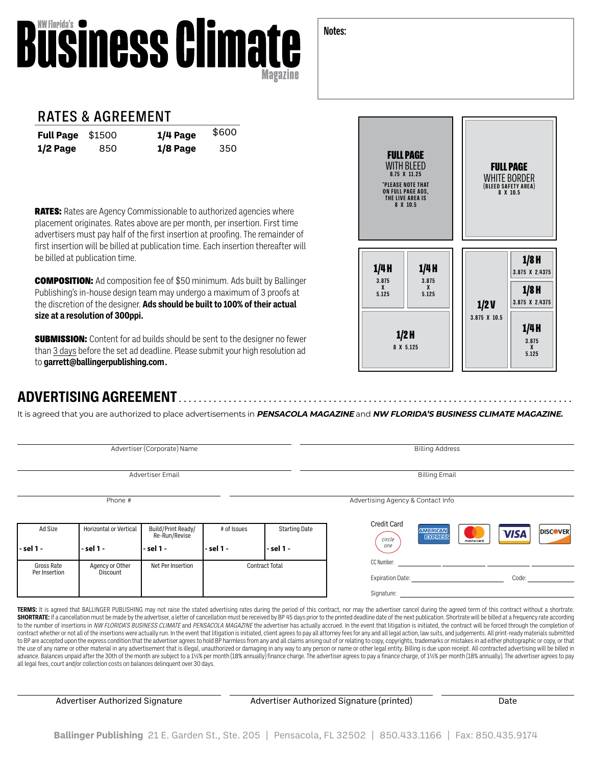#### **Notes:**

# **Business Climate**

#### RATES & AGREEMENT

| <b>Full Page</b> \$1500 |     | $1/4$ Page | \$600 |
|-------------------------|-----|------------|-------|
| $1/2$ Page              | 850 | 1/8 Page   | 350   |

**RATES:** Rates are Agency Commissionable to authorized agencies where placement originates. Rates above are per month, per insertion. First time advertisers must pay half of the first insertion at proofing. The remainder of first insertion will be billed at publication time. Each insertion thereafter will be billed at publication time.

**COMPOSITION:** Ad composition fee of \$50 minimum. Ads built by Ballinger Publishing's in-house design team may undergo a maximum of 3 proofs at the discretion of the designer. **Ads should be built to 100% of their actual size at a resolution of 300ppi.**

**SUBMISSION:** Content for ad builds should be sent to the designer no fewer than 3 days before the set ad deadline. Please submit your high resolution ad to **[garrett@ballingerpublishing.com](mailto:%18garrett%40ballingerpublishing.com?subject=) .**

### **ADVERTISING AGREEMENT**

It is agreed that you are authorized to place advertisements in **PENSACOLA MAGAZINE** and **NW FLORIDA'S BUSINESS CLIMATE MAGAZINE.**

<u>. . . . . . . . . . . . . .</u>

| Advertiser (Corporate) Name |                                    |                                     |             | <b>Billing Address</b> |                                   |                                                                                                                |                                |
|-----------------------------|------------------------------------|-------------------------------------|-------------|------------------------|-----------------------------------|----------------------------------------------------------------------------------------------------------------|--------------------------------|
| Advertiser Email            |                                    |                                     |             |                        | <b>Billing Email</b>              |                                                                                                                |                                |
|                             | Phone #                            |                                     |             |                        | Advertising Agency & Contact Info |                                                                                                                |                                |
| Ad Size                     | Horizontal or Vertical             | Build/Print Ready/<br>Re-Run/Revise | # of Issues | <b>Starting Date</b>   | <b>Credit Card</b><br>circle      | <b>AMERICAN</b><br>Exmatrix                                                                                    | <b>DISCOVER</b><br><b>VISA</b> |
| - sel 1 -                   | - sel 1 -                          | - sel 1 -                           | l - sel 1 - | - sel 1 -              | one                               | mastercard.                                                                                                    |                                |
| Gross Rate<br>Per Insertion | Agency or Other<br><b>Discount</b> | Net Per Insertion                   |             | <b>Contract Total</b>  | CC Number:                        | Expiration Date: The Same Science of the Science of the Science of the Science of the Science of the Science o | Code:                          |
|                             |                                    |                                     |             |                        | Signature:                        |                                                                                                                |                                |

**TERMS:** It is agreed that BALLINGER PUBLISHING may not raise the stated advertising rates during the period of this contract, nor may the advertiser cancel during the agreed term of this contract without a shortrate. SHORTRATE: If a cancellation must be made by the advertiser, a letter of cancellation must be received by BP 45 days prior to the printed deadline date of the next publication. Shortrate will be billed at a frequency rate to the number of insertions in NW FLORIDA'S BUSINESS CLIMATE and PENSACOLA MAGAZINE the advertiser has actually accrued. In the event that litigation is initiated, the contract will be forced through the completion of contract whether or not all of the insertions were actually run. In the event that litigation is initiated, client agrees to pay all attorney fees for any and all legal action, law suits, and judgements. All print-ready ma to BP are accepted upon the express condition that the advertiser agrees to hold BP harmless from any and all claims arising out of or relating to copy, copyrights, trademarks or mistakes in ad either photographic or copy, the use of any name or other material in any advertisement that is illegal, unauthorized or damaging in any way to any person or name or other legal entity. Billing is due upon receipt. All contracted advertising will be b advance. Balances unpaid after the 30th of the month are subject to a 1½% per month (18% annually) finance charge. The advertiser agrees to pay a finance charge, of 1½% per month (18% annually). The advertiser agrees to pa all legal fees, court and/or collection costs on balances delinquent over 30 days.

Advertiser Authorized Signature **Advertiser Authorized Signature (printed)** Date